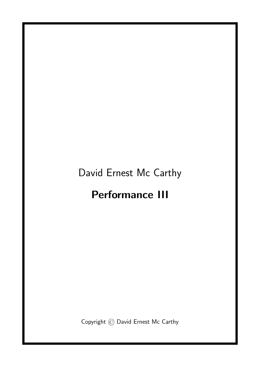## David Ernest Mc Carthy

## Performance III

Copyright © David Ernest Mc Carthy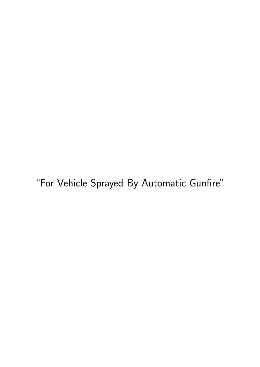"For Vehicle Sprayed By Automatic Gunfire"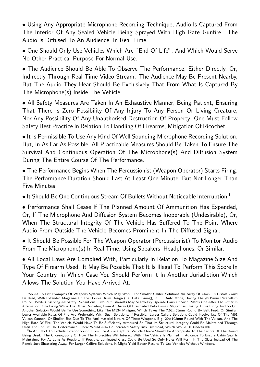• Using Any Appropriate Microphone Recording Technique, Audio Is Captured From The Interior Of Any Sealed Vehicle Being Sprayed With High Rate Gunfire. The Audio Is Diffused To An Audience, In Real Time.

• One Should Only Use Vehicles Which Are "End Of Life", And Which Would Serve No Other Practical Purpose For Normal Use.

• The Audience Should Be Able To Observe The Performance, Either Directly, Or, Indirectly Through Real Time Video Stream. The Audience May Be Present Nearby, But The Audio They Hear Should Be Exclusively That From What Is Captured By The Microphone(s) Inside The Vehicle.

• All Safety Measures Are Taken In An Exhaustive Manner, Being Patient, Ensuring That There Is Zero Possibility Of Any Injury To Any Person Or Living Creature, Nor Any Possibility Of Any Unauthorised Destruction Of Property. One Must Follow Safety Best Practice In Relation To Handling Of Firearms, Mitigation Of Ricochet.

• It Is Permissible To Use Any Kind Of Well Sounding Microphone Recording Solution, But, In As Far As Possible, All Practicable Measures Should Be Taken To Ensure The Survival And Continuous Operation Of The Microphone(s) And Diffusion System During The Entire Course Of The Performance.

• The Performance Begins When The Percussionist (Weapon Operator) Starts Firing. The Performance Duration Should Last At Least One Minute, But Not Longer Than Five Minutes.

• It Should Be One Continuous Stream Of Bullets Without Noticeable Interruption.<sup>1</sup>

• Performance Shall Cease If The Planned Amount Of Ammunition Has Expended, Or, If The Microphone And Diffusion System Becomes Inoperable (Undesirable), Or, When The Structural Integrity Of The Vehicle Has Suffered To The Point Where Audio From Outside The Vehicle Becomes Prominent In The Diffused Signal.<sup>ii</sup>

• It Should Be Possible For The Weapon Operator (Percussionist) To Monitor Audio From The Microphone(s) In Real Time, Using Speakers, Headphones, Or Similar.

• All Local Laws Are Complied With, Particularly In Relation To Magazine Size And Type Of Firearm Used. It May Be Possible That It Is Illegal To Perform This Score In Your Country, In Which Case You Should Perform It In Another Jurisdiction Which Allows The Solution You Have Arrived At.

<sup>i</sup>So As To List Examples Of Weapons Systems Which May Work: For Smaller Calibre Solutions An Array Of Glock 18 Pistols Could Be Used, With Extended Magazine Of The Double Drum Design (I.e. Beta C-mag), In Full Auto Mode, Having The 9×19mm Parabellum Round. While Observing All Safety Precautions, Two Percussionists May Seamlessly Operate Pairs Of Such Pistols One After The Other In Alternation, One Firing While The Other Reloading From An Array Of Pre-loaded Beta C-mag Magazines, Taking Turns Firing And So On. Another Solution Would Be To Use Something Like The M134 Minigun, Which Takes The 7.62×51mm Round By Belt Feed, Or Similar. Lower Available Rates Of Fire Are Preferrable With Such Solutions, If Possible. Larger Calibre Solutions Could Involve Use Of The M61 Vulcan Cannon, Or Similar, But Due To The Anti-materiel Nature Of These Weapons, E.g. 20×102mm Round With The Vulcan, And The High Rate Of Fire, The Vehicle Would Have To Be Sufficiently Armoured So That Its Structural Integrity Could Be Maintained Through Until The End Of The Performance. There Would Also Be Increased Safety Risk Overhead, Which Would Be Undesirable.

iiIn An Effort To Exclude Exterior Sound From The Audio Capture, Vehicle Choice Should Be Appropriate To The Calibre Of The Round Being Used. The Choreography Of How The Projectiles Will Interact With The Vehicle Is Planned In Advance To Ensure Cabin Seal Is Maintained For As Long As Possible. If Possible, Laminated Glass Could Be Used So Only Holes Will Form In The Glass Instead Of The Panels Just Shattering Away. For Larger Calibre Solutions, It Might Yield Better Results To Use Vehicles Without Windows.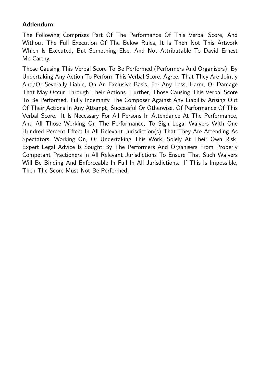## Addendum:

The Following Comprises Part Of The Performance Of This Verbal Score, And Without The Full Execution Of The Below Rules, It Is Then Not This Artwork Which Is Executed, But Something Else, And Not Attributable To David Ernest Mc Carthy.

Those Causing This Verbal Score To Be Performed (Performers And Organisers), By Undertaking Any Action To Perform This Verbal Score, Agree, That They Are Jointly And/Or Severally Liable, On An Exclusive Basis, For Any Loss, Harm, Or Damage That May Occur Through Their Actions. Further, Those Causing This Verbal Score To Be Performed, Fully Indemnify The Composer Against Any Liability Arising Out Of Their Actions In Any Attempt, Successful Or Otherwise, Of Performance Of This Verbal Score. It Is Necessary For All Persons In Attendance At The Performance, And All Those Working On The Performance, To Sign Legal Waivers With One Hundred Percent Effect In All Relevant Jurisdiction(s) That They Are Attending As Spectators, Working On, Or Undertaking This Work, Solely At Their Own Risk. Expert Legal Advice Is Sought By The Performers And Organisers From Properly Competant Practioners In All Relevant Jurisdictions To Ensure That Such Waivers Will Be Binding And Enforceable In Full In All Jurisdictions. If This Is Impossible, Then The Score Must Not Be Performed.